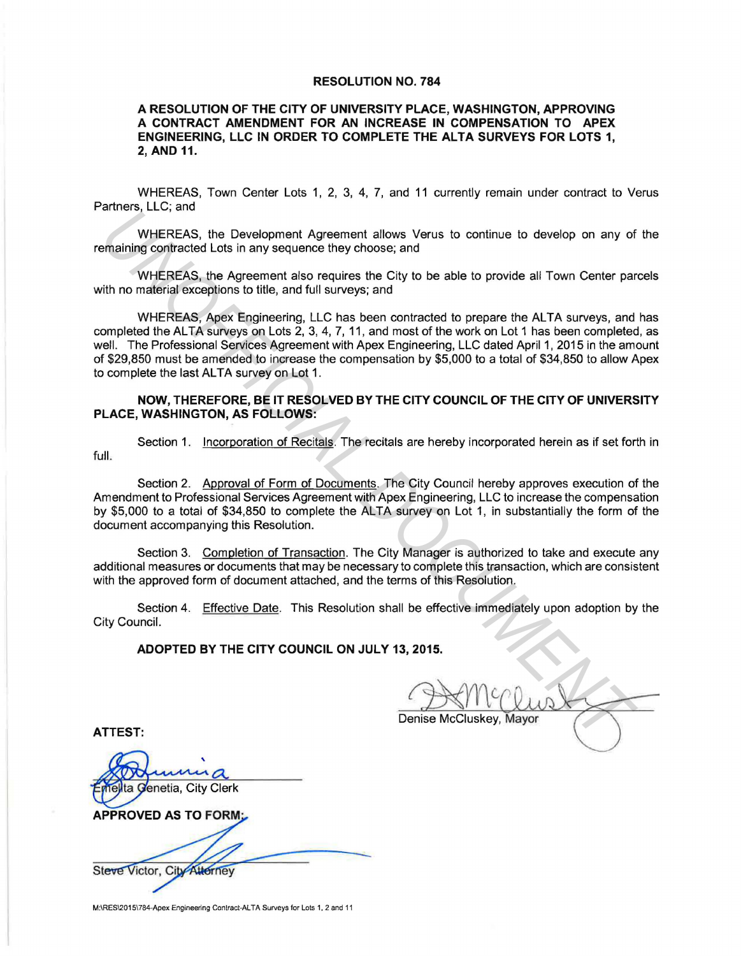#### RESOLUTION NO. 784

#### A RESOLUTION OF THE CITY OF UNIVERSITY PLACE, WASHINGTON, APPROVING A CONTRACT AMENDMENT FOR AN INCREASE IN COMPENSATION TO APEX ENGINEERING, LLC IN ORDER TO COMPLETE THE ALTA SURVEYS FOR LOTS 1, 2, AND 11.

WHEREAS, Town Center Lots 1, 2, 3, 4, 7, and 11 currently remain under contract to Verus Partners, LLC; and

WHEREAS, the Development Agreement allows Verus to continue to develop on any of the remaining contracted Lots in any sequence they choose; and

WHEREAS, the Agreement also requires the City to be able to provide all Town Center parcels with no material exceptions to title, and full surveys; and

WHEREAS, Apex Engineering, LLC has been contracted to prepare the ALTA surveys, and has completed the ALTA surveys on Lots 2, 3, 4, 7, 11, and most of the work on Lot 1 has been completed, as well. The Professional Services Agreement with Apex Engineering, LLC dated April 1, 2015 in the amount of \$29,850 must be amended to increase the compensation by \$5,000 to a total of \$34,850 to allow Apex to complete the last ALTA survey on Lot 1. UNIFIERES, the Development Agreement allows Verus to continue to develop on any of<br>maining contracted Lots in any sequence they choose; and<br>WHEREAS, the Agreement also requires the City to be able to provide all Town Cent

### NOW, THEREFORE, BE IT RESOLVED BY THE CITY COUNCIL OF THE CITY OF UNIVERSITY PLACE, WASHINGTON, AS FOLLOWS:

full.

Section 1. Incorporation of Recitals. The recitals are hereby incorporated herein as if set forth in

Section 2. Approval of Form of Documents. The City Council hereby approves execution of the Amendment to Professional Services Agreement with Apex Engineering, LLC to increase the compensation by \$5,000 to a total of \$34,850 to complete the ALTA survey on Lot 1, in substantially the form of the document accompanying this Resolution.

Section 3. Completion of Transaction. The City Manager is authorized to take and execute any additional measures or documents that may be necessary to complete this transaction, which are consistent with the approved form of document attached, and the terms of this Resolution.

Section 4. Effective Date. This Resolution shall be effective immediately upon adoption by the City Council.

ADOPTED BY THE CITY COUNCIL ON JULY 13, 2015.

ATTEST:

**Ita Genetia, City Clerk** 

**APPROVED AS TO FORM:** 

Steve Victor, City Attorney

M:\RES\2015\784-Apex Engineering Contract-ALTA Surveys for Lots 1, 2 and 11